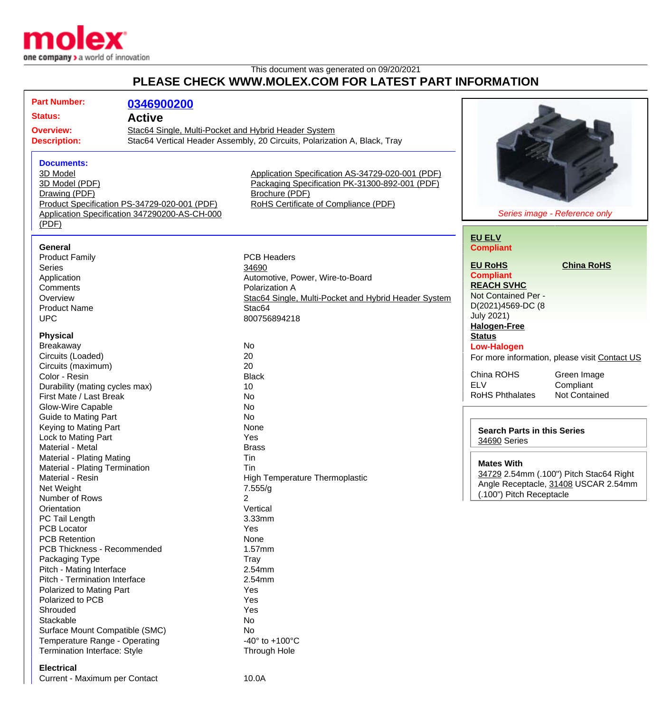

#### This document was generated on 09/20/2021 **PLEASE CHECK WWW.MOLEX.COM FOR LATEST PART INFORMATION**

| <b>Part Number:</b>            | 0346900200                                                                |                                                      |                                               |  |
|--------------------------------|---------------------------------------------------------------------------|------------------------------------------------------|-----------------------------------------------|--|
| <b>Status:</b>                 |                                                                           |                                                      |                                               |  |
| <b>Active</b>                  |                                                                           |                                                      |                                               |  |
| <b>Overview:</b>               | Stac64 Single, Multi-Pocket and Hybrid Header System                      |                                                      |                                               |  |
| <b>Description:</b>            | Stac64 Vertical Header Assembly, 20 Circuits, Polarization A, Black, Tray |                                                      |                                               |  |
|                                |                                                                           |                                                      |                                               |  |
| <b>Documents:</b>              |                                                                           |                                                      |                                               |  |
| 3D Model                       |                                                                           | Application Specification AS-34729-020-001 (PDF)     |                                               |  |
| 3D Model (PDF)                 |                                                                           | Packaging Specification PK-31300-892-001 (PDF)       |                                               |  |
| Drawing (PDF)                  |                                                                           | Brochure (PDF)                                       |                                               |  |
|                                | Product Specification PS-34729-020-001 (PDF)                              | RoHS Certificate of Compliance (PDF)                 |                                               |  |
|                                | Application Specification 347290200-AS-CH-000                             |                                                      | Series image - Reference only                 |  |
| (PDF)                          |                                                                           |                                                      |                                               |  |
|                                |                                                                           |                                                      | <b>EU ELV</b>                                 |  |
| General                        |                                                                           |                                                      | <b>Compliant</b>                              |  |
| <b>Product Family</b>          |                                                                           | <b>PCB Headers</b>                                   |                                               |  |
| <b>Series</b>                  |                                                                           | 34690                                                | <b>EU RoHS</b><br><b>China RoHS</b>           |  |
| Application                    |                                                                           | Automotive, Power, Wire-to-Board                     | <b>Compliant</b>                              |  |
| Comments                       |                                                                           | Polarization A                                       | <b>REACH SVHC</b>                             |  |
| Overview                       |                                                                           | Stac64 Single, Multi-Pocket and Hybrid Header System | Not Contained Per -                           |  |
| <b>Product Name</b>            |                                                                           | Stac64                                               | D(2021)4569-DC (8                             |  |
| <b>UPC</b>                     |                                                                           | 800756894218                                         | <b>July 2021)</b>                             |  |
|                                |                                                                           |                                                      | <b>Halogen-Free</b>                           |  |
| <b>Physical</b>                |                                                                           |                                                      | <b>Status</b>                                 |  |
| Breakaway                      |                                                                           | No                                                   | <b>Low-Halogen</b>                            |  |
| Circuits (Loaded)              |                                                                           | 20                                                   | For more information, please visit Contact US |  |
| Circuits (maximum)             |                                                                           | 20                                                   |                                               |  |
| Color - Resin                  |                                                                           | <b>Black</b>                                         | China ROHS<br>Green Image                     |  |
| Durability (mating cycles max) |                                                                           | 10                                                   | <b>ELV</b><br>Compliant                       |  |
| First Mate / Last Break        |                                                                           | No                                                   | Not Contained<br><b>RoHS Phthalates</b>       |  |
| Glow-Wire Capable              |                                                                           | No                                                   |                                               |  |
| <b>Guide to Mating Part</b>    |                                                                           | <b>No</b>                                            |                                               |  |
| Keying to Mating Part          |                                                                           | None                                                 | <b>Search Parts in this Series</b>            |  |
| Lock to Mating Part            |                                                                           | Yes                                                  | 34690 Series                                  |  |
| Material - Metal               |                                                                           | <b>Brass</b>                                         |                                               |  |
| Material - Plating Mating      |                                                                           | Tin                                                  |                                               |  |
| Material - Plating Termination |                                                                           | Tin                                                  | <b>Mates With</b>                             |  |
| Material - Resin               |                                                                           | <b>High Temperature Thermoplastic</b>                | 34729 2.54mm (.100") Pitch Stac64 Right       |  |
| Net Weight                     |                                                                           | 7.555/g                                              | Angle Receptacle, 31408 USCAR 2.54mm          |  |
| Number of Rows                 |                                                                           | 2                                                    | (.100") Pitch Receptacle                      |  |
| Orientation                    |                                                                           | Vertical                                             |                                               |  |
| PC Tail Length                 |                                                                           | 3.33mm                                               |                                               |  |
| <b>PCB Locator</b>             |                                                                           | Yes                                                  |                                               |  |
| <b>PCB Retention</b>           |                                                                           | None                                                 |                                               |  |
| PCB Thickness - Recommended    |                                                                           | 1.57mm                                               |                                               |  |
| Packaging Type                 |                                                                           | Tray                                                 |                                               |  |
| Pitch - Mating Interface       |                                                                           | 2.54mm                                               |                                               |  |
| Pitch - Termination Interface  |                                                                           | 2.54mm                                               |                                               |  |
| Polarized to Mating Part       |                                                                           | Yes                                                  |                                               |  |
| Polarized to PCB               |                                                                           | Yes                                                  |                                               |  |
| Shrouded                       |                                                                           | Yes                                                  |                                               |  |
| Stackable                      |                                                                           | No                                                   |                                               |  |
| Surface Mount Compatible (SMC) |                                                                           | <b>No</b>                                            |                                               |  |
| Temperature Range - Operating  |                                                                           | -40 $^{\circ}$ to +100 $^{\circ}$ C                  |                                               |  |
| Termination Interface: Style   |                                                                           | Through Hole                                         |                                               |  |
|                                |                                                                           |                                                      |                                               |  |
| <b>Electrical</b>              |                                                                           |                                                      |                                               |  |
| Current - Maximum per Contact  |                                                                           | 10.0A                                                |                                               |  |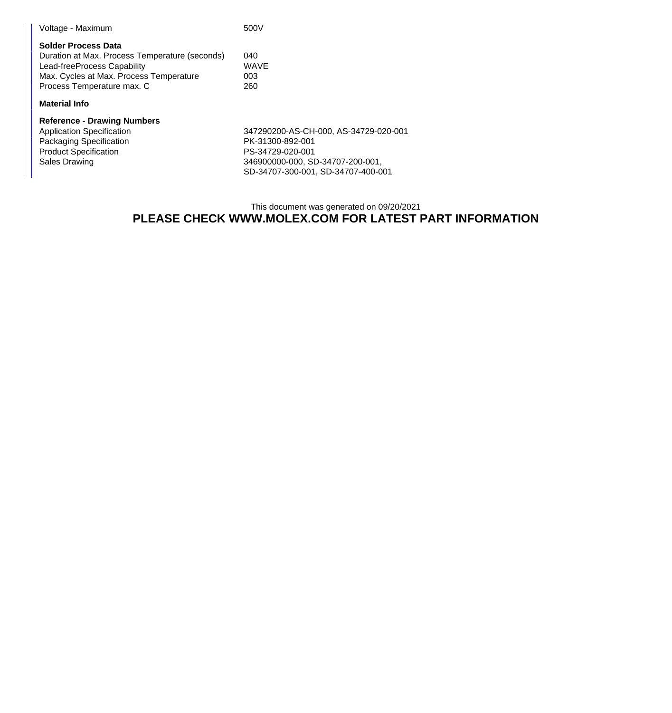| Voltage - Maximum                                                                                                                                                             | 500V                             |
|-------------------------------------------------------------------------------------------------------------------------------------------------------------------------------|----------------------------------|
| Solder Process Data<br>Duration at Max. Process Temperature (seconds)<br>Lead-freeProcess Capability<br>Max. Cycles at Max. Process Temperature<br>Process Temperature max. C | 040<br><b>WAVE</b><br>003<br>260 |
| Material Info                                                                                                                                                                 |                                  |
|                                                                                                                                                                               |                                  |

# **Reference - Drawing Numbers**

Packaging Specification PK-31300-892-001 Product Specification PS-34729-020-001<br>
Sales Drawing 26 and 246900000-000, SD

347290200-AS-CH-000, AS-34729-020-001 346900000-000, SD-34707-200-001, SD-34707-300-001, SD-34707-400-001

#### This document was generated on 09/20/2021

### **PLEASE CHECK WWW.MOLEX.COM FOR LATEST PART INFORMATION**